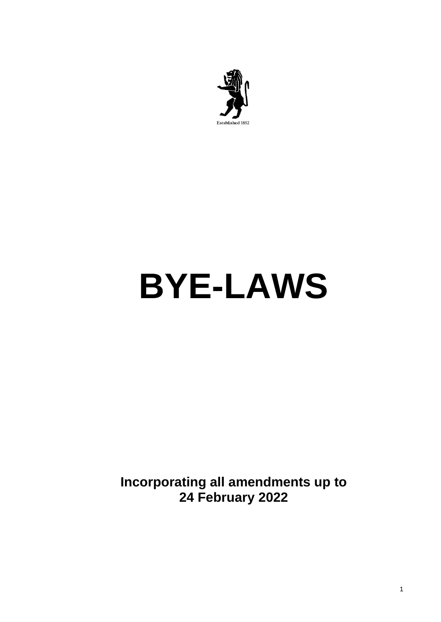

# **BYE-LAWS**

**Incorporating all amendments up to 24 February 2022**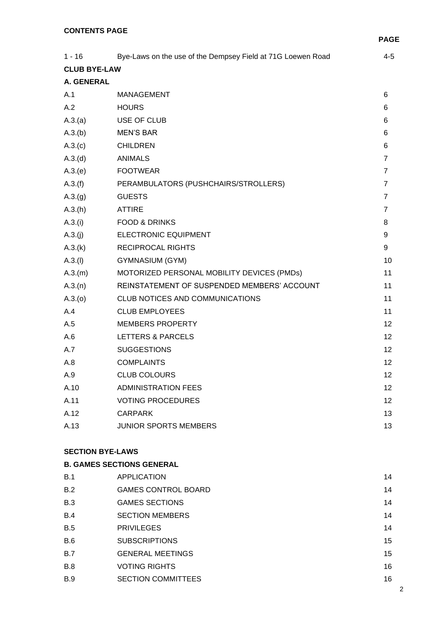|                     |                                                             | PAG             |
|---------------------|-------------------------------------------------------------|-----------------|
| $1 - 16$            | Bye-Laws on the use of the Dempsey Field at 71G Loewen Road | $4 - 5$         |
| <b>CLUB BYE-LAW</b> |                                                             |                 |
| <b>A. GENERAL</b>   |                                                             |                 |
| A.1                 | <b>MANAGEMENT</b>                                           | 6               |
| A.2                 | <b>HOURS</b>                                                | 6               |
| A.3.(a)             | USE OF CLUB                                                 | 6               |
| A.3(b)              | <b>MEN'S BAR</b>                                            | 6               |
| A.3(c)              | <b>CHILDREN</b>                                             | 6               |
| A.3.(d)             | <b>ANIMALS</b>                                              | 7               |
| A.3(e)              | <b>FOOTWEAR</b>                                             | $\overline{7}$  |
| A.3.(f)             | PERAMBULATORS (PUSHCHAIRS/STROLLERS)                        | $\overline{7}$  |
| A.3.(g)             | <b>GUESTS</b>                                               | 7               |
| A.3(h)              | <b>ATTIRE</b>                                               | $\overline{7}$  |
| A.3.(i)             | <b>FOOD &amp; DRINKS</b>                                    | 8               |
| A.3.(i)             | <b>ELECTRONIC EQUIPMENT</b>                                 | 9               |
| A.3(k)              | <b>RECIPROCAL RIGHTS</b>                                    | 9               |
| A.3.(I)             | GYMNASIUM (GYM)                                             | 10              |
| A.3(m)              | MOTORIZED PERSONAL MOBILITY DEVICES (PMDs)                  | 11              |
| A.3(n)              | REINSTATEMENT OF SUSPENDED MEMBERS' ACCOUNT                 | 11              |
| A.3(0)              | <b>CLUB NOTICES AND COMMUNICATIONS</b>                      | 11              |
| A.4                 | <b>CLUB EMPLOYEES</b>                                       | 11              |
| A.5                 | <b>MEMBERS PROPERTY</b>                                     | 12              |
| A.6                 | LETTERS & PARCELS                                           | 12 <sup>2</sup> |
| A.7                 | <b>SUGGESTIONS</b>                                          | 12              |
| A.8                 | <b>COMPLAINTS</b>                                           | 12              |
| A.9                 | <b>CLUB COLOURS</b>                                         | 12 <sub>2</sub> |
| A.10                | <b>ADMINISTRATION FEES</b>                                  | 12              |
| A.11                | <b>VOTING PROCEDURES</b>                                    | 12              |
| A.12                | <b>CARPARK</b>                                              | 13              |
| A.13                | <b>JUNIOR SPORTS MEMBERS</b>                                | 13              |
|                     |                                                             |                 |

# **SECTION BYE-LAWS**

# **B. GAMES SECTIONS GENERAL** B.1 APPLICATION 14

| B.2        | <b>GAMES CONTROL BOARD</b> | 14 |
|------------|----------------------------|----|
| B.3        | <b>GAMES SECTIONS</b>      | 14 |
| B.4        | <b>SECTION MEMBERS</b>     | 14 |
| B.5        | <b>PRIVILEGES</b>          | 14 |
| <b>B.6</b> | <b>SUBSCRIPTIONS</b>       | 15 |
| B.7        | <b>GENERAL MEETINGS</b>    | 15 |
| <b>B.8</b> | <b>VOTING RIGHTS</b>       | 16 |
| <b>B.9</b> | <b>SECTION COMMITTEES</b>  | 16 |

**PAGE**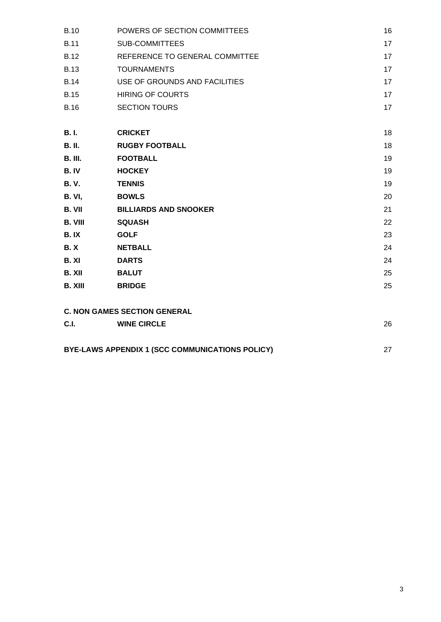| <b>B.10</b>    | POWERS OF SECTION COMMITTEES        | 16 |
|----------------|-------------------------------------|----|
| <b>B.11</b>    | <b>SUB-COMMITTEES</b>               | 17 |
| <b>B.12</b>    | REFERENCE TO GENERAL COMMITTEE      | 17 |
| <b>B.13</b>    | <b>TOURNAMENTS</b>                  | 17 |
| <b>B.14</b>    | USE OF GROUNDS AND FACILITIES       | 17 |
| <b>B.15</b>    | <b>HIRING OF COURTS</b>             | 17 |
| <b>B.16</b>    | <b>SECTION TOURS</b>                | 17 |
| <b>B.I.</b>    | <b>CRICKET</b>                      | 18 |
| <b>B. II.</b>  | <b>RUGBY FOOTBALL</b>               | 18 |
| <b>B. III.</b> | <b>FOOTBALL</b>                     | 19 |
| B. IV          | <b>HOCKEY</b>                       | 19 |
| <b>B.V.</b>    | <b>TENNIS</b>                       | 19 |
| <b>B. VI,</b>  | <b>BOWLS</b>                        | 20 |
| <b>B. VII</b>  | <b>BILLIARDS AND SNOOKER</b>        | 21 |
| <b>B. VIII</b> | <b>SQUASH</b>                       | 22 |
| B.IX           | <b>GOLF</b>                         | 23 |
| <b>B.X</b>     | <b>NETBALL</b>                      | 24 |
| B. XI          | <b>DARTS</b>                        | 24 |
| B. XII         | <b>BALUT</b>                        | 25 |
| <b>B. XIII</b> | <b>BRIDGE</b>                       | 25 |
|                | <b>C. NON GAMES SECTION GENERAL</b> |    |
| C.I.           | <b>WINE CIRCLE</b>                  | 26 |
|                |                                     |    |

| BYE-LAWS APPENDIX 1 (SCC COMMUNICATIONS POLICY) |  |
|-------------------------------------------------|--|
|                                                 |  |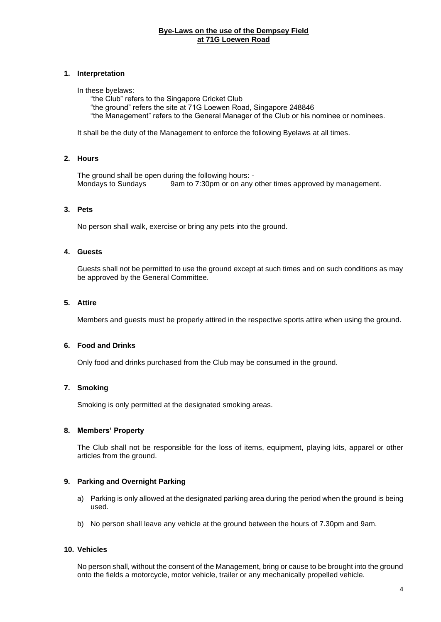# **Bye-Laws on the use of the Dempsey Field at 71G Loewen Road**

# **1. Interpretation**

#### In these byelaws:

"the Club" refers to the Singapore Cricket Club "the ground" refers the site at 71G Loewen Road, Singapore 248846 "the Management" refers to the General Manager of the Club or his nominee or nominees.

It shall be the duty of the Management to enforce the following Byelaws at all times.

# **2. Hours**

The ground shall be open during the following hours: -Mondays to Sundays 9am to 7:30pm or on any other times approved by management.

# **3. Pets**

No person shall walk, exercise or bring any pets into the ground.

# **4. Guests**

Guests shall not be permitted to use the ground except at such times and on such conditions as may be approved by the General Committee.

# **5. Attire**

Members and guests must be properly attired in the respective sports attire when using the ground.

#### **6. Food and Drinks**

Only food and drinks purchased from the Club may be consumed in the ground.

# **7. Smoking**

Smoking is only permitted at the designated smoking areas.

#### **8. Members' Property**

The Club shall not be responsible for the loss of items, equipment, playing kits, apparel or other articles from the ground.

# **9. Parking and Overnight Parking**

- a) Parking is only allowed at the designated parking area during the period when the ground is being used.
- b) No person shall leave any vehicle at the ground between the hours of 7.30pm and 9am.

#### **10. Vehicles**

No person shall, without the consent of the Management, bring or cause to be brought into the ground onto the fields a motorcycle, motor vehicle, trailer or any mechanically propelled vehicle.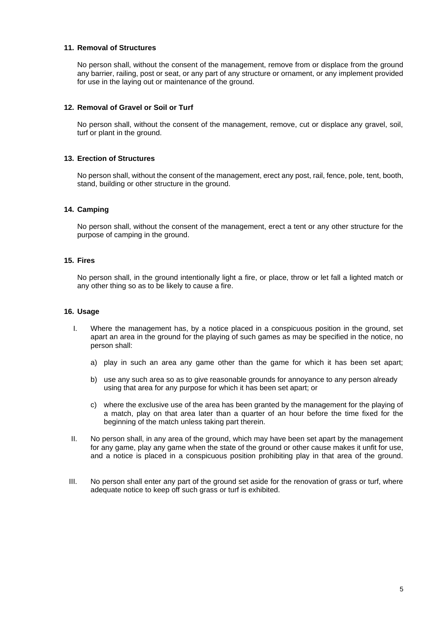# **11. Removal of Structures**

No person shall, without the consent of the management, remove from or displace from the ground any barrier, railing, post or seat, or any part of any structure or ornament, or any implement provided for use in the laying out or maintenance of the ground.

# **12. Removal of Gravel or Soil or Turf**

No person shall, without the consent of the management, remove, cut or displace any gravel, soil, turf or plant in the ground.

# **13. Erection of Structures**

No person shall, without the consent of the management, erect any post, rail, fence, pole, tent, booth, stand, building or other structure in the ground.

# **14. Camping**

No person shall, without the consent of the management, erect a tent or any other structure for the purpose of camping in the ground.

# **15. Fires**

No person shall, in the ground intentionally light a fire, or place, throw or let fall a lighted match or any other thing so as to be likely to cause a fire.

#### **16. Usage**

- I. Where the management has, by a notice placed in a conspicuous position in the ground, set apart an area in the ground for the playing of such games as may be specified in the notice, no person shall:
	- a) play in such an area any game other than the game for which it has been set apart;
	- b) use any such area so as to give reasonable grounds for annoyance to any person already using that area for any purpose for which it has been set apart; or
	- c) where the exclusive use of the area has been granted by the management for the playing of a match, play on that area later than a quarter of an hour before the time fixed for the beginning of the match unless taking part therein.
- II. No person shall, in any area of the ground, which may have been set apart by the management for any game, play any game when the state of the ground or other cause makes it unfit for use, and a notice is placed in a conspicuous position prohibiting play in that area of the ground.
- III. No person shall enter any part of the ground set aside for the renovation of grass or turf, where adequate notice to keep off such grass or turf is exhibited.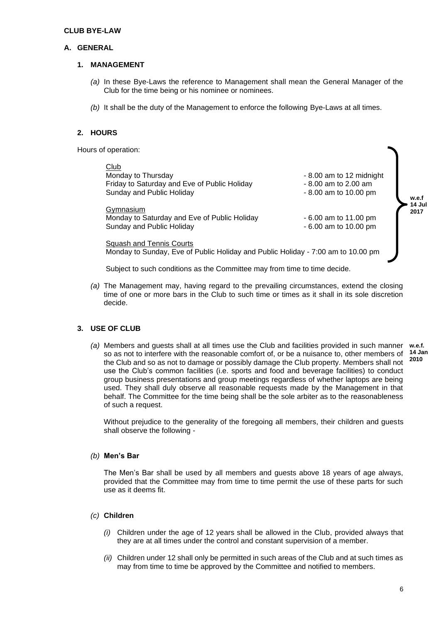#### **CLUB BYE-LAW**

# **A. GENERAL**

#### **1. MANAGEMENT**

- *(a)* In these Bye-Laws the reference to Management shall mean the General Manager of the Club for the time being or his nominee or nominees.
- *(b)* It shall be the duty of the Management to enforce the following Bye-Laws at all times.

# **2. HOURS**

Hours of operation:

| Club<br>Monday to Thursday<br>Friday to Saturday and Eve of Public Holiday<br>Sunday and Public Holiday<br>Gymnasium<br>Monday to Saturday and Eve of Public Holiday<br>Sunday and Public Holiday | - 8.00 am to 12 midnight<br>$-8.00$ am to 2.00 am<br>$-8.00$ am to 10.00 pm<br>- 6.00 am to 11.00 pm<br>$-6.00$ am to 10.00 pm | w.e.f<br>14 Jul<br>2017 |
|---------------------------------------------------------------------------------------------------------------------------------------------------------------------------------------------------|--------------------------------------------------------------------------------------------------------------------------------|-------------------------|
| <b>Squash and Tennis Courts</b><br>Monday to Sunday, Eve of Public Holiday and Public Holiday - 7:00 am to 10.00 pm                                                                               |                                                                                                                                |                         |

Subject to such conditions as the Committee may from time to time decide.

*(a)* The Management may, having regard to the prevailing circumstances, extend the closing time of one or more bars in the Club to such time or times as it shall in its sole discretion decide.

# **3. USE OF CLUB**

*(a)* Members and guests shall at all times use the Club and facilities provided in such manner **w.e.f.** so as not to interfere with the reasonable comfort of, or be a nuisance to, other members of the Club and so as not to damage or possibly damage the Club property. Members shall not use the Club's common facilities (i.e. sports and food and beverage facilities) to conduct group business presentations and group meetings regardless of whether laptops are being used. They shall duly observe all reasonable requests made by the Management in that behalf. The Committee for the time being shall be the sole arbiter as to the reasonableness of such a request. **14 Jan 2010**

Without prejudice to the generality of the foregoing all members, their children and guests shall observe the following -

# *(b)* **Men's Bar**

The Men's Bar shall be used by all members and guests above 18 years of age always, provided that the Committee may from time to time permit the use of these parts for such use as it deems fit.

# *(c)* **Children**

- *(i)* Children under the age of 12 years shall be allowed in the Club, provided always that they are at all times under the control and constant supervision of a member.
- *(ii)* Children under 12 shall only be permitted in such areas of the Club and at such times as may from time to time be approved by the Committee and notified to members.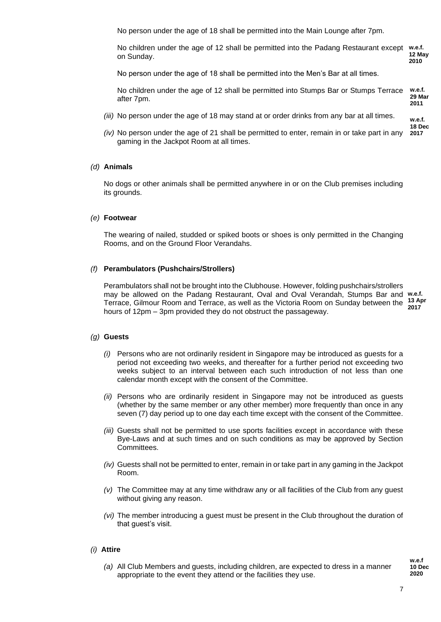No person under the age of 18 shall be permitted into the Main Lounge after 7pm.

No children under the age of 12 shall be permitted into the Padang Restaurant except on Sunday. **w.e.f. 12 May 2010**

No person under the age of 18 shall be permitted into the Men's Bar at all times.

No children under the age of 12 shall be permitted into Stumps Bar or Stumps Terrace after 7pm. **w.e.f. 29 Mar 2011**

- *(iii)* No person under the age of 18 may stand at or order drinks from any bar at all times.
- *(iv)* No person under the age of 21 shall be permitted to enter, remain in or take part in any gaming in the Jackpot Room at all times. **2017**

#### *(d)* **Animals**

No dogs or other animals shall be permitted anywhere in or on the Club premises including its grounds.

#### *(e)* **Footwear**

The wearing of nailed, studded or spiked boots or shoes is only permitted in the Changing Rooms, and on the Ground Floor Verandahs.

#### *(f)* **Perambulators (Pushchairs/Strollers)**

Perambulators shall not be brought into the Clubhouse. However, folding pushchairs/strollers may be allowed on the Padang Restaurant, Oval and Oval Verandah, Stumps Bar and **w.e.f.**  Terrace, Gilmour Room and Terrace, as well as the Victoria Room on Sunday between the hours of 12pm – 3pm provided they do not obstruct the passageway. **13 Apr 2017**

#### *(g)* **Guests**

- *(i)* Persons who are not ordinarily resident in Singapore may be introduced as guests for a period not exceeding two weeks, and thereafter for a further period not exceeding two weeks subject to an interval between each such introduction of not less than one calendar month except with the consent of the Committee.
- *(ii)* Persons who are ordinarily resident in Singapore may not be introduced as guests (whether by the same member or any other member) more frequently than once in any seven (7) day period up to one day each time except with the consent of the Committee.
- *(iii)* Guests shall not be permitted to use sports facilities except in accordance with these Bye-Laws and at such times and on such conditions as may be approved by Section Committees.
- *(iv)* Guests shall not be permitted to enter, remain in or take part in any gaming in the Jackpot Room.
- *(v)* The Committee may at any time withdraw any or all facilities of the Club from any guest without giving any reason.
- *(vi)* The member introducing a guest must be present in the Club throughout the duration of that guest's visit.

#### *(i)* **Attire**

*(a)* All Club Members and guests, including children, are expected to dress in a manner appropriate to the event they attend or the facilities they use.

**w.e.f 10 Dec 2020**

**w.e.f. 18 Dec**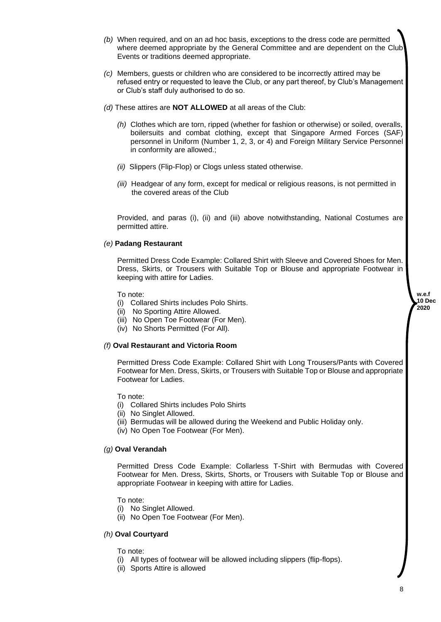- *(b)* When required, and on an ad hoc basis, exceptions to the dress code are permitted where deemed appropriate by the General Committee and are dependent on the Club Events or traditions deemed appropriate. *(c)* Members, guests or children who are considered to be incorrectly attired may be refused entry or requested to leave the Club, or any part thereof, by Club's Management or Club's staff duly authorised to do so. *(d)* These attires are **NOT ALLOWED** at all areas of the Club: *(h)* Clothes which are torn, ripped (whether for fashion or otherwise) or soiled, overalls, boilersuits and combat clothing, except that Singapore Armed Forces (SAF) personnel in Uniform (Number 1, 2, 3, or 4) and Foreign Military Service Personnel in conformity are allowed.;
	- *(ii)* Slippers (Flip-Flop) or Clogs unless stated otherwise.
	- *(iii)* Headgear of any form, except for medical or religious reasons, is not permitted in the covered areas of the Club

Provided, and paras (i), (ii) and (iii) above notwithstanding, National Costumes are permitted attire.

# *(e)* **Padang Restaurant**

Permitted Dress Code Example: Collared Shirt with Sleeve and Covered Shoes for Men. Dress, Skirts, or Trousers with Suitable Top or Blouse and appropriate Footwear in keeping with attire for Ladies.

To note:

- (i) Collared Shirts includes Polo Shirts.
- (ii) No Sporting Attire Allowed.
- (iii) No Open Toe Footwear (For Men).
- (iv) No Shorts Permitted (For All).

#### *(f)* **Oval Restaurant and Victoria Room**

Permitted Dress Code Example: Collared Shirt with Long Trousers/Pants with Covered Footwear for Men. Dress, Skirts, or Trousers with Suitable Top or Blouse and appropriate Footwear for Ladies.

To note:

- (i) Collared Shirts includes Polo Shirts
- (ii) No Singlet Allowed.
- (iii) Bermudas will be allowed during the Weekend and Public Holiday only.
- (iv) No Open Toe Footwear (For Men).

#### *(g)* **Oval Verandah**

Permitted Dress Code Example: Collarless T-Shirt with Bermudas with Covered Footwear for Men. Dress, Skirts, Shorts, or Trousers with Suitable Top or Blouse and appropriate Footwear in keeping with attire for Ladies.

- To note:
- (i) No Singlet Allowed.
- (ii) No Open Toe Footwear (For Men).

#### *(h)* **Oval Courtyard**

To note:

- (i) All types of footwear will be allowed including slippers (flip-flops).
- (ii) Sports Attire is allowed

**w.e.f 10 Dec 2020**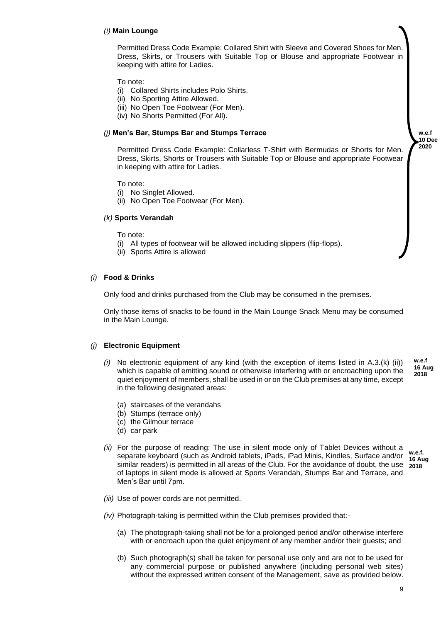#### *(i)* **Main Lounge**

Permitted Dress Code Example: Collared Shirt with Sleeve and Covered Shoes for Men. Dress, Skirts, or Trousers with Suitable Top or Blouse and appropriate Footwear in keeping with attire for Ladies.

To note:

- (i) Collared Shirts includes Polo Shirts.
- (ii) No Sporting Attire Allowed.
- (iii) No Open Toe Footwear (For Men).
- (iv) No Shorts Permitted (For All).

# *(j)* **Men's Bar, Stumps Bar and Stumps Terrace**

**w.e.f 10 Dec 2020**

Permitted Dress Code Example: Collarless T-Shirt with Bermudas or Shorts for Men. Dress, Skirts, Shorts or Trousers with Suitable Top or Blouse and appropriate Footwear in keeping with attire for Ladies.

To note:

- (i) No Singlet Allowed.
- (ii) No Open Toe Footwear (For Men).

#### *(k)* **Sports Verandah**

- To note:
- (i) All types of footwear will be allowed including slippers (flip-flops).
- (ii) Sports Attire is allowed

#### *(i)* **Food & Drinks**

Only food and drinks purchased from the Club may be consumed in the premises.

Only those items of snacks to be found in the Main Lounge Snack Menu may be consumed in the Main Lounge.

#### *(j)* **Electronic Equipment**

- *(i)* No electronic equipment of any kind (with the exception of items listed in A.3.(k) (ii)) which is capable of emitting sound or otherwise interfering with or encroaching upon the quiet enjoyment of members, shall be used in or on the Club premises at any time, except in the following designated areas: **w.e.f 16 Aug 2018**
	- (a) staircases of the verandahs
	- (b) Stumps (terrace only)
	- (c) the Gilmour terrace
	- (d) car park
- *(ii)* For the purpose of reading: The use in silent mode only of Tablet Devices without a separate keyboard (such as Android tablets, iPads, iPad Minis, Kindles, Surface and/or similar readers) is permitted in all areas of the Club. For the avoidance of doubt, the use of laptops in silent mode is allowed at Sports Verandah, Stumps Bar and Terrace, and Men's Bar until 7pm. **w.e.f. 16 Aug 2018**
- *(iii)* Use of power cords are not permitted.
- *(iv)* Photograph-taking is permitted within the Club premises provided that:-
	- (a) The photograph-taking shall not be for a prolonged period and/or otherwise interfere with or encroach upon the quiet enjoyment of any member and/or their guests; and
	- (b) Such photograph(s) shall be taken for personal use only and are not to be used for any commercial purpose or published anywhere (including personal web sites) without the expressed written consent of the Management, save as provided below.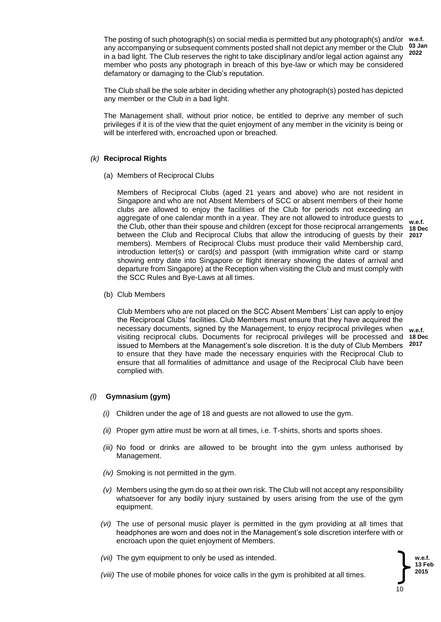The posting of such photograph(s) on social media is permitted but any photograph(s) and/or any accompanying or subsequent comments posted shall not depict any member or the Club in a bad light. The Club reserves the right to take disciplinary and/or legal action against any member who posts any photograph in breach of this bye-law or which may be considered defamatory or damaging to the Club's reputation. **w.e.f. 03 Jan**

The Club shall be the sole arbiter in deciding whether any photograph(s) posted has depicted any member or the Club in a bad light.

The Management shall, without prior notice, be entitled to deprive any member of such privileges if it is of the view that the quiet enjoyment of any member in the vicinity is being or will be interfered with, encroached upon or breached.

# *(k)* **Reciprocal Rights**

(a) Members of Reciprocal Clubs

Members of Reciprocal Clubs (aged 21 years and above) who are not resident in Singapore and who are not Absent Members of SCC or absent members of their home clubs are allowed to enjoy the facilities of the Club for periods not exceeding an aggregate of one calendar month in a year. They are not allowed to introduce guests to the Club, other than their spouse and children (except for those reciprocal arrangements between the Club and Reciprocal Clubs that allow the introducing of guests by their members). Members of Reciprocal Clubs must produce their valid Membership card, introduction letter(s) or card(s) and passport (with immigration white card or stamp showing entry date into Singapore or flight itinerary showing the dates of arrival and departure from Singapore) at the Reception when visiting the Club and must comply with the SCC Rules and Bye-Laws at all times.

(b) Club Members

Club Members who are not placed on the SCC Absent Members' List can apply to enjoy the Reciprocal Clubs' facilities. Club Members must ensure that they have acquired the necessary documents, signed by the Management, to enjoy reciprocal privileges when **w.e.f.** visiting reciprocal clubs. Documents for reciprocal privileges will be processed and **18 Dec** issued to Members at the Management's sole discretion. It is the duty of Club Members **2017**to ensure that they have made the necessary enquiries with the Reciprocal Club to ensure that all formalities of admittance and usage of the Reciprocal Club have been complied with.

#### *(l)* **Gymnasium (gym)**

- *(i)* Children under the age of 18 and guests are not allowed to use the gym.
- *(ii)* Proper gym attire must be worn at all times, i.e. T-shirts, shorts and sports shoes.
- *(iii)* No food or drinks are allowed to be brought into the gym unless authorised by Management.
- *(iv)* Smoking is not permitted in the gym.
- *(v)* Members using the gym do so at their own risk. The Club will not accept any responsibility whatsoever for any bodily injury sustained by users arising from the use of the gym equipment.
- *(vi)* The use of personal music player is permitted in the gym providing at all times that headphones are worn and does not in the Management's sole discretion interfere with or encroach upon the quiet enjoyment of Members.
- *(vii)* The gym equipment to only be used as intended.
- *(viii)* The use of mobile phones for voice calls in the gym is prohibited at all times.

10 **w.e.f. 13 Feb 2015**

**w.e.f. 18 Dec 2017**

**2022**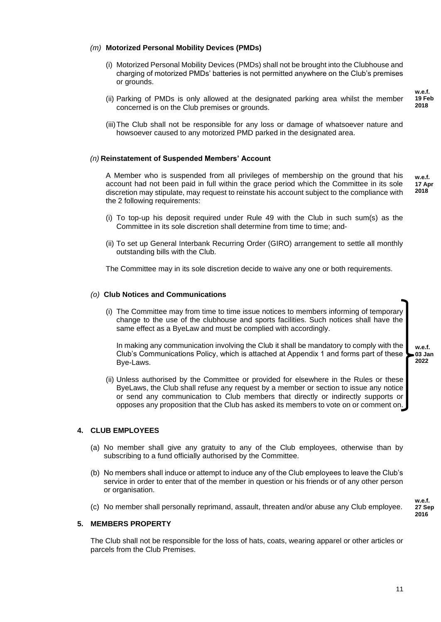# *(m)* **Motorized Personal Mobility Devices (PMDs)**

- (i) Motorized Personal Mobility Devices (PMDs) shall not be brought into the Clubhouse and charging of motorized PMDs' batteries is not permitted anywhere on the Club's premises or grounds.
- (ii) Parking of PMDs is only allowed at the designated parking area whilst the member concerned is on the Club premises or grounds.
- (iii)The Club shall not be responsible for any loss or damage of whatsoever nature and howsoever caused to any motorized PMD parked in the designated area.

# *(n)* **Reinstatement of Suspended Members' Account**

A Member who is suspended from all privileges of membership on the ground that his account had not been paid in full within the grace period which the Committee in its sole discretion may stipulate, may request to reinstate his account subject to the compliance with the 2 following requirements: **w.e.f. 17 Apr 2018**

- (i) To top-up his deposit required under Rule 49 with the Club in such sum(s) as the Committee in its sole discretion shall determine from time to time; and-
- (ii) To set up General Interbank Recurring Order (GIRO) arrangement to settle all monthly outstanding bills with the Club.

The Committee may in its sole discretion decide to waive any one or both requirements.

#### *(o)* **Club Notices and Communications**

(i) The Committee may from time to time issue notices to members informing of temporary change to the use of the clubhouse and sports facilities. Such notices shall have the same effect as a ByeLaw and must be complied with accordingly.

In making any communication involving the Club it shall be mandatory to comply with the Club's Communications Policy, which is attached at Appendix 1 and forms part of these Bye-Laws.

(ii) Unless authorised by the Committee or provided for elsewhere in the Rules or these ByeLaws, the Club shall refuse any request by a member or section to issue any notice or send any communication to Club members that directly or indirectly supports or opposes any proposition that the Club has asked its members to vote on or comment on.

# **4. CLUB EMPLOYEES**

- (a) No member shall give any gratuity to any of the Club employees, otherwise than by subscribing to a fund officially authorised by the Committee.
- (b) No members shall induce or attempt to induce any of the Club employees to leave the Club's service in order to enter that of the member in question or his friends or of any other person or organisation.
- (c) No member shall personally reprimand, assault, threaten and/or abuse any Club employee.

#### **5. MEMBERS PROPERTY**

The Club shall not be responsible for the loss of hats, coats, wearing apparel or other articles or parcels from the Club Premises.

**w.e.f. 03 Jan 2022**

> **w.e.f. 27 Sep 2016**

**w.e.f. 19 Feb 2018**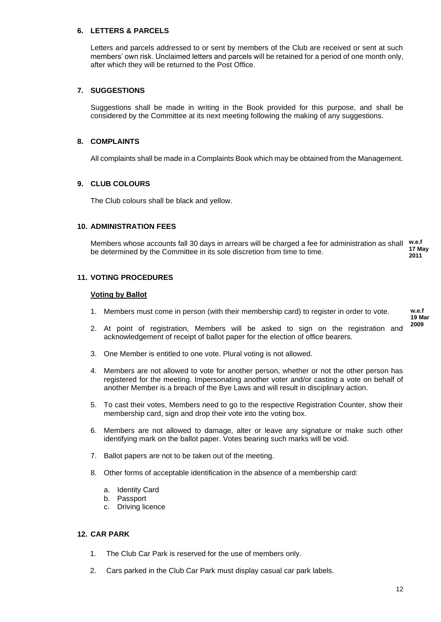# **6. LETTERS & PARCELS**

Letters and parcels addressed to or sent by members of the Club are received or sent at such members' own risk. Unclaimed letters and parcels will be retained for a period of one month only, after which they will be returned to the Post Office.

# **7. SUGGESTIONS**

Suggestions shall be made in writing in the Book provided for this purpose, and shall be considered by the Committee at its next meeting following the making of any suggestions.

#### **8. COMPLAINTS**

All complaints shall be made in a Complaints Book which may be obtained from the Management.

# **9. CLUB COLOURS**

The Club colours shall be black and yellow.

#### **10. ADMINISTRATION FEES**

Members whose accounts fall 30 days in arrears will be charged a fee for administration as shall west be determined by the Committee in its sole discretion from time to time. **17 May 2011**

#### **11. VOTING PROCEDURES**

#### **Voting by Ballot**

- 1. Members must come in person (with their membership card) to register in order to vote.
- 2. At point of registration, Members will be asked to sign on the registration and acknowledgement of receipt of ballot paper for the election of office bearers.
- 3. One Member is entitled to one vote. Plural voting is not allowed.
- 4. Members are not allowed to vote for another person, whether or not the other person has registered for the meeting. Impersonating another voter and/or casting a vote on behalf of another Member is a breach of the Bye Laws and will result in disciplinary action.
- 5. To cast their votes, Members need to go to the respective Registration Counter, show their membership card, sign and drop their vote into the voting box.
- 6. Members are not allowed to damage, alter or leave any signature or make such other identifying mark on the ballot paper. Votes bearing such marks will be void.
- 7. Ballot papers are not to be taken out of the meeting.
- 8. Other forms of acceptable identification in the absence of a membership card:
	- a. Identity Card
	- b. Passport
	- c. Driving licence

# **12. CAR PARK**

- 1. The Club Car Park is reserved for the use of members only.
- 2. Cars parked in the Club Car Park must display casual car park labels.

**w.e.f 19 Mar 2009**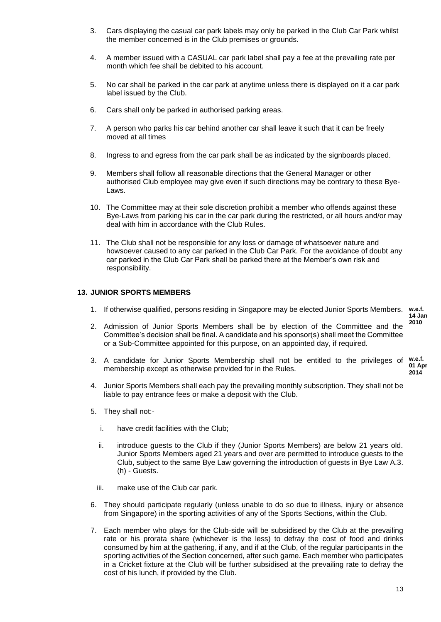- 3. Cars displaying the casual car park labels may only be parked in the Club Car Park whilst the member concerned is in the Club premises or grounds.
- 4. A member issued with a CASUAL car park label shall pay a fee at the prevailing rate per month which fee shall be debited to his account.
- 5. No car shall be parked in the car park at anytime unless there is displayed on it a car park label issued by the Club.
- 6. Cars shall only be parked in authorised parking areas.
- 7. A person who parks his car behind another car shall leave it such that it can be freely moved at all times
- 8. Ingress to and egress from the car park shall be as indicated by the signboards placed.
- 9. Members shall follow all reasonable directions that the General Manager or other authorised Club employee may give even if such directions may be contrary to these Bye-Laws.
- 10. The Committee may at their sole discretion prohibit a member who offends against these Bye-Laws from parking his car in the car park during the restricted, or all hours and/or may deal with him in accordance with the Club Rules.
- 11. The Club shall not be responsible for any loss or damage of whatsoever nature and howsoever caused to any car parked in the Club Car Park. For the avoidance of doubt any car parked in the Club Car Park shall be parked there at the Member's own risk and responsibility.

# **13. JUNIOR SPORTS MEMBERS**

1. If otherwise qualified, persons residing in Singapore may be elected Junior Sports Members. **w.e.f.** 

- 2. Admission of Junior Sports Members shall be by election of the Committee and the Committee's decision shall be final. A candidate and his sponsor(s) shall meet the Committee or a Sub-Committee appointed for this purpose, on an appointed day, if required.
- 3. A candidate for Junior Sports Membership shall not be entitled to the privileges of **w.e.f.**  membership except as otherwise provided for in the Rules. **01 Apr 2014**
- 4. Junior Sports Members shall each pay the prevailing monthly subscription. They shall not be liable to pay entrance fees or make a deposit with the Club.
- 5. They shall not:
	- i. have credit facilities with the Club;
	- ii. introduce guests to the Club if they (Junior Sports Members) are below 21 years old. Junior Sports Members aged 21 years and over are permitted to introduce guests to the Club, subject to the same Bye Law governing the introduction of guests in Bye Law A.3. (h) - Guests.
	- iii. make use of the Club car park.
- 6. They should participate regularly (unless unable to do so due to illness, injury or absence from Singapore) in the sporting activities of any of the Sports Sections, within the Club.
- 7. Each member who plays for the Club-side will be subsidised by the Club at the prevailing rate or his prorata share (whichever is the less) to defray the cost of food and drinks consumed by him at the gathering, if any, and if at the Club, of the regular participants in the sporting activities of the Section concerned, after such game. Each member who participates in a Cricket fixture at the Club will be further subsidised at the prevailing rate to defray the cost of his lunch, if provided by the Club.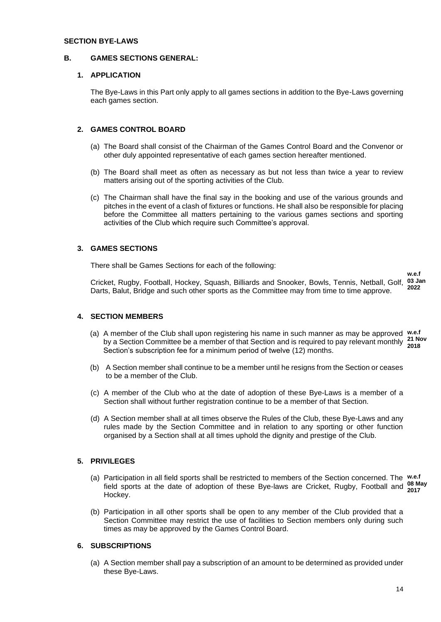# **SECTION BYE-LAWS**

#### **B. GAMES SECTIONS GENERAL:**

# **1. APPLICATION**

The Bye-Laws in this Part only apply to all games sections in addition to the Bye-Laws governing each games section.

# **2. GAMES CONTROL BOARD**

- (a) The Board shall consist of the Chairman of the Games Control Board and the Convenor or other duly appointed representative of each games section hereafter mentioned.
- (b) The Board shall meet as often as necessary as but not less than twice a year to review matters arising out of the sporting activities of the Club.
- (c) The Chairman shall have the final say in the booking and use of the various grounds and pitches in the event of a clash of fixtures or functions. He shall also be responsible for placing before the Committee all matters pertaining to the various games sections and sporting activities of the Club which require such Committee's approval.

# **3. GAMES SECTIONS**

There shall be Games Sections for each of the following:

Cricket, Rugby, Football, Hockey, Squash, Billiards and Snooker, Bowls, Tennis, Netball, Golf, **03 Jan** Darts, Balut, Bridge and such other sports as the Committee may from time to time approve. **2022**

# **4. SECTION MEMBERS**

- (a) A member of the Club shall upon registering his name in such manner as may be approved **w.e.f**  by a Section Committee be a member of that Section and is required to pay relevant monthly 21 Nov Section's subscription fee for a minimum period of twelve (12) months. **2018**
- (b) A Section member shall continue to be a member until he resigns from the Section or ceases to be a member of the Club.
- (c) A member of the Club who at the date of adoption of these Bye-Laws is a member of a Section shall without further registration continue to be a member of that Section.
- (d) A Section member shall at all times observe the Rules of the Club, these Bye-Laws and any rules made by the Section Committee and in relation to any sporting or other function organised by a Section shall at all times uphold the dignity and prestige of the Club.

# **5. PRIVILEGES**

- (a) Participation in all field sports shall be restricted to members of the Section concerned. The **w.e.f**  field sports at the date of adoption of these Bye-laws are Cricket, Rugby, Football and <sup>08 May</sup> Hockey. **2017**
- (b) Participation in all other sports shall be open to any member of the Club provided that a Section Committee may restrict the use of facilities to Section members only during such times as may be approved by the Games Control Board.

# **6. SUBSCRIPTIONS**

(a) A Section member shall pay a subscription of an amount to be determined as provided under these Bye-Laws.

**w.e.f**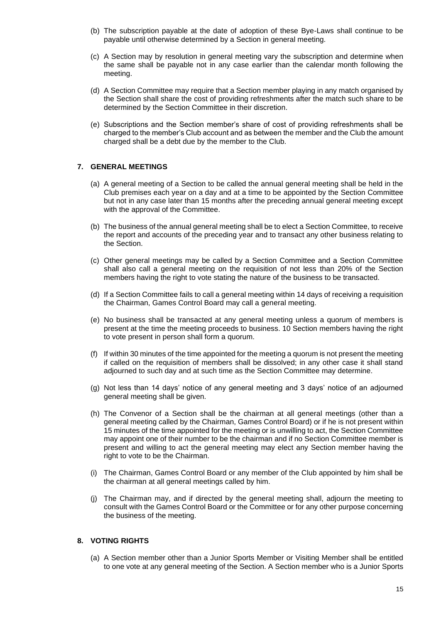- (b) The subscription payable at the date of adoption of these Bye-Laws shall continue to be payable until otherwise determined by a Section in general meeting.
- (c) A Section may by resolution in general meeting vary the subscription and determine when the same shall be payable not in any case earlier than the calendar month following the meeting.
- (d) A Section Committee may require that a Section member playing in any match organised by the Section shall share the cost of providing refreshments after the match such share to be determined by the Section Committee in their discretion.
- (e) Subscriptions and the Section member's share of cost of providing refreshments shall be charged to the member's Club account and as between the member and the Club the amount charged shall be a debt due by the member to the Club.

# **7. GENERAL MEETINGS**

- (a) A general meeting of a Section to be called the annual general meeting shall be held in the Club premises each year on a day and at a time to be appointed by the Section Committee but not in any case later than 15 months after the preceding annual general meeting except with the approval of the Committee.
- (b) The business of the annual general meeting shall be to elect a Section Committee, to receive the report and accounts of the preceding year and to transact any other business relating to the Section.
- (c) Other general meetings may be called by a Section Committee and a Section Committee shall also call a general meeting on the requisition of not less than 20% of the Section members having the right to vote stating the nature of the business to be transacted.
- (d) If a Section Committee fails to call a general meeting within 14 days of receiving a requisition the Chairman, Games Control Board may call a general meeting.
- (e) No business shall be transacted at any general meeting unless a quorum of members is present at the time the meeting proceeds to business. 10 Section members having the right to vote present in person shall form a quorum.
- (f) If within 30 minutes of the time appointed for the meeting a quorum is not present the meeting if called on the requisition of members shall be dissolved; in any other case it shall stand adjourned to such day and at such time as the Section Committee may determine.
- (g) Not less than 14 days' notice of any general meeting and 3 days' notice of an adjourned general meeting shall be given.
- (h) The Convenor of a Section shall be the chairman at all general meetings (other than a general meeting called by the Chairman, Games Control Board) or if he is not present within 15 minutes of the time appointed for the meeting or is unwilling to act, the Section Committee may appoint one of their number to be the chairman and if no Section Committee member is present and willing to act the general meeting may elect any Section member having the right to vote to be the Chairman.
- (i) The Chairman, Games Control Board or any member of the Club appointed by him shall be the chairman at all general meetings called by him.
- (j) The Chairman may, and if directed by the general meeting shall, adjourn the meeting to consult with the Games Control Board or the Committee or for any other purpose concerning the business of the meeting.

# **8. VOTING RIGHTS**

(a) A Section member other than a Junior Sports Member or Visiting Member shall be entitled to one vote at any general meeting of the Section. A Section member who is a Junior Sports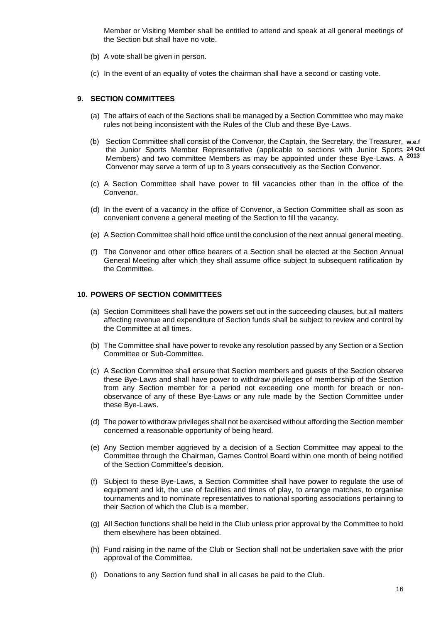Member or Visiting Member shall be entitled to attend and speak at all general meetings of the Section but shall have no vote.

- (b) A vote shall be given in person.
- (c) In the event of an equality of votes the chairman shall have a second or casting vote.

# **9. SECTION COMMITTEES**

- (a) The affairs of each of the Sections shall be managed by a Section Committee who may make rules not being inconsistent with the Rules of the Club and these Bye-Laws.
- (b) Section Committee shall consist of the Convenor, the Captain, the Secretary, the Treasurer, **w.e.f**  the Junior Sports Member Representative (applicable to sections with Junior Sports **24 Oct**  Members) and two committee Members as may be appointed under these Bye-Laws. A **2013**Convenor may serve a term of up to 3 years consecutively as the Section Convenor.
- (c) A Section Committee shall have power to fill vacancies other than in the office of the Convenor.
- (d) In the event of a vacancy in the office of Convenor, a Section Committee shall as soon as convenient convene a general meeting of the Section to fill the vacancy.
- (e) A Section Committee shall hold office until the conclusion of the next annual general meeting.
- (f) The Convenor and other office bearers of a Section shall be elected at the Section Annual General Meeting after which they shall assume office subject to subsequent ratification by the Committee.

# **10. POWERS OF SECTION COMMITTEES**

- (a) Section Committees shall have the powers set out in the succeeding clauses, but all matters affecting revenue and expenditure of Section funds shall be subject to review and control by the Committee at all times.
- (b) The Committee shall have power to revoke any resolution passed by any Section or a Section Committee or Sub-Committee.
- (c) A Section Committee shall ensure that Section members and guests of the Section observe these Bye-Laws and shall have power to withdraw privileges of membership of the Section from any Section member for a period not exceeding one month for breach or nonobservance of any of these Bye-Laws or any rule made by the Section Committee under these Bye-Laws.
- (d) The power to withdraw privileges shall not be exercised without affording the Section member concerned a reasonable opportunity of being heard.
- (e) Any Section member aggrieved by a decision of a Section Committee may appeal to the Committee through the Chairman, Games Control Board within one month of being notified of the Section Committee's decision.
- (f) Subject to these Bye-Laws, a Section Committee shall have power to regulate the use of equipment and kit, the use of facilities and times of play, to arrange matches, to organise tournaments and to nominate representatives to national sporting associations pertaining to their Section of which the Club is a member.
- (g) All Section functions shall be held in the Club unless prior approval by the Committee to hold them elsewhere has been obtained.
- (h) Fund raising in the name of the Club or Section shall not be undertaken save with the prior approval of the Committee.
- (i) Donations to any Section fund shall in all cases be paid to the Club.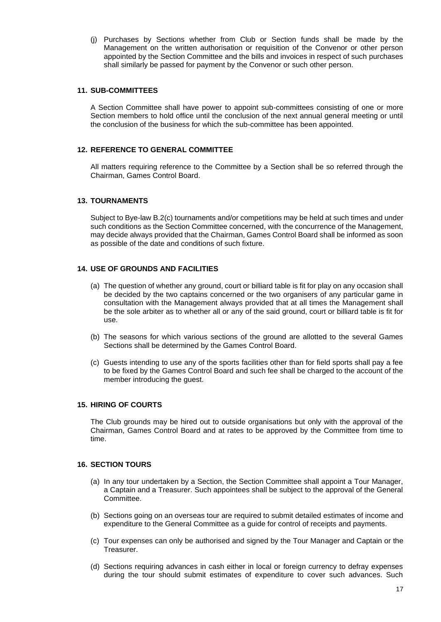(j) Purchases by Sections whether from Club or Section funds shall be made by the Management on the written authorisation or requisition of the Convenor or other person appointed by the Section Committee and the bills and invoices in respect of such purchases shall similarly be passed for payment by the Convenor or such other person.

# **11. SUB-COMMITTEES**

A Section Committee shall have power to appoint sub-committees consisting of one or more Section members to hold office until the conclusion of the next annual general meeting or until the conclusion of the business for which the sub-committee has been appointed.

# **12. REFERENCE TO GENERAL COMMITTEE**

All matters requiring reference to the Committee by a Section shall be so referred through the Chairman, Games Control Board.

# **13. TOURNAMENTS**

Subject to Bye-law B.2(c) tournaments and/or competitions may be held at such times and under such conditions as the Section Committee concerned, with the concurrence of the Management, may decide always provided that the Chairman, Games Control Board shall be informed as soon as possible of the date and conditions of such fixture.

# **14. USE OF GROUNDS AND FACILITIES**

- (a) The question of whether any ground, court or billiard table is fit for play on any occasion shall be decided by the two captains concerned or the two organisers of any particular game in consultation with the Management always provided that at all times the Management shall be the sole arbiter as to whether all or any of the said ground, court or billiard table is fit for use.
- (b) The seasons for which various sections of the ground are allotted to the several Games Sections shall be determined by the Games Control Board.
- (c) Guests intending to use any of the sports facilities other than for field sports shall pay a fee to be fixed by the Games Control Board and such fee shall be charged to the account of the member introducing the guest.

# **15. HIRING OF COURTS**

The Club grounds may be hired out to outside organisations but only with the approval of the Chairman, Games Control Board and at rates to be approved by the Committee from time to time.

# **16. SECTION TOURS**

- (a) In any tour undertaken by a Section, the Section Committee shall appoint a Tour Manager, a Captain and a Treasurer. Such appointees shall be subject to the approval of the General Committee.
- (b) Sections going on an overseas tour are required to submit detailed estimates of income and expenditure to the General Committee as a guide for control of receipts and payments.
- (c) Tour expenses can only be authorised and signed by the Tour Manager and Captain or the Treasurer.
- (d) Sections requiring advances in cash either in local or foreign currency to defray expenses during the tour should submit estimates of expenditure to cover such advances. Such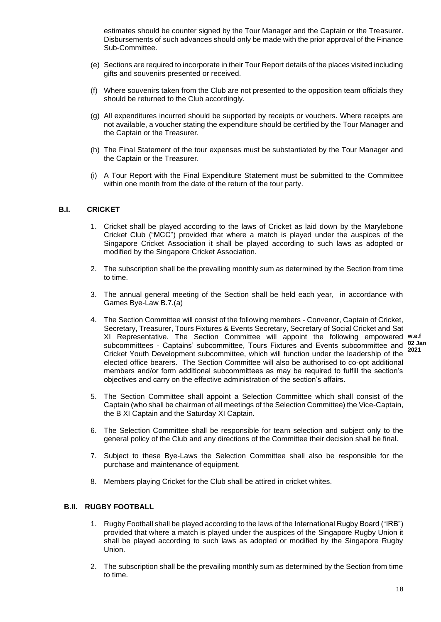estimates should be counter signed by the Tour Manager and the Captain or the Treasurer. Disbursements of such advances should only be made with the prior approval of the Finance Sub-Committee.

- (e) Sections are required to incorporate in their Tour Report details of the places visited including gifts and souvenirs presented or received.
- (f) Where souvenirs taken from the Club are not presented to the opposition team officials they should be returned to the Club accordingly.
- (g) All expenditures incurred should be supported by receipts or vouchers. Where receipts are not available, a voucher stating the expenditure should be certified by the Tour Manager and the Captain or the Treasurer.
- (h) The Final Statement of the tour expenses must be substantiated by the Tour Manager and the Captain or the Treasurer.
- (i) A Tour Report with the Final Expenditure Statement must be submitted to the Committee within one month from the date of the return of the tour party.

# **B.I. CRICKET**

- 1. Cricket shall be played according to the laws of Cricket as laid down by the Marylebone Cricket Club ("MCC") provided that where a match is played under the auspices of the Singapore Cricket Association it shall be played according to such laws as adopted or modified by the Singapore Cricket Association.
- 2. The subscription shall be the prevailing monthly sum as determined by the Section from time to time.
- 3. The annual general meeting of the Section shall be held each year, in accordance with Games Bye-Law B.7.(a)
- 4. The Section Committee will consist of the following members Convenor, Captain of Cricket, Secretary, Treasurer, Tours Fixtures & Events Secretary, Secretary of Social Cricket and Sat XI Representative. The Section Committee will appoint the following empowered **w.e.f**  subcommittees - Captains' subcommittee, Tours Fixtures and Events subcommittee and <sup>02 Jan</sup> Cricket Youth Development subcommittee, which will function under the leadership of the elected office bearers. The Section Committee will also be authorised to co-opt additional members and/or form additional subcommittees as may be required to fulfill the section's objectives and carry on the effective administration of the section's affairs. **2021**
- 5. The Section Committee shall appoint a Selection Committee which shall consist of the Captain (who shall be chairman of all meetings of the Selection Committee) the Vice-Captain, the B XI Captain and the Saturday XI Captain.
- 6. The Selection Committee shall be responsible for team selection and subject only to the general policy of the Club and any directions of the Committee their decision shall be final.
- 7. Subject to these Bye-Laws the Selection Committee shall also be responsible for the purchase and maintenance of equipment.
- 8. Members playing Cricket for the Club shall be attired in cricket whites.

# **B.II. RUGBY FOOTBALL**

- 1. Rugby Football shall be played according to the laws of the International Rugby Board ("IRB") provided that where a match is played under the auspices of the Singapore Rugby Union it shall be played according to such laws as adopted or modified by the Singapore Rugby Union.
- 2. The subscription shall be the prevailing monthly sum as determined by the Section from time to time.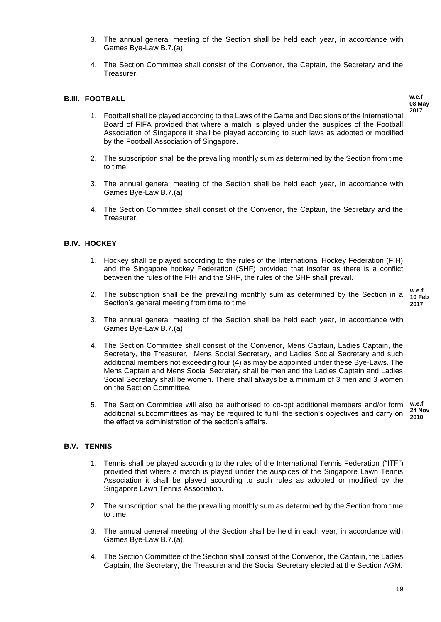- 3. The annual general meeting of the Section shall be held each year, in accordance with Games Bye-Law B.7.(a)
- 4. The Section Committee shall consist of the Convenor, the Captain, the Secretary and the **Treasurer**

# **B.III. FOOTBALL**

**w.e.f 08 May 2017**

- 1. Football shall be played according to the Laws of the Game and Decisions of the International Board of FIFA provided that where a match is played under the auspices of the Football Association of Singapore it shall be played according to such laws as adopted or modified by the Football Association of Singapore.
- 2. The subscription shall be the prevailing monthly sum as determined by the Section from time to time.
- 3. The annual general meeting of the Section shall be held each year, in accordance with Games Bye-Law B.7.(a)
- 4. The Section Committee shall consist of the Convenor, the Captain, the Secretary and the **Treasurer.**

# **B.IV. HOCKEY**

- 1. Hockey shall be played according to the rules of the International Hockey Federation (FIH) and the Singapore hockey Federation (SHF) provided that insofar as there is a conflict between the rules of the FIH and the SHF, the rules of the SHF shall prevail.
- 2. The subscription shall be the prevailing monthly sum as determined by the Section in a Section's general meeting from time to time.
- **w.e.f 10 Feb 2017**
- 3. The annual general meeting of the Section shall be held each year, in accordance with Games Bye-Law B.7.(a)
- 4. The Section Committee shall consist of the Convenor, Mens Captain, Ladies Captain, the Secretary, the Treasurer, Mens Social Secretary, and Ladies Social Secretary and such additional members not exceeding four (4) as may be appointed under these Bye-Laws. The Mens Captain and Mens Social Secretary shall be men and the Ladies Captain and Ladies Social Secretary shall be women. There shall always be a minimum of 3 men and 3 women on the Section Committee.
- 5. The Section Committee will also be authorised to co-opt additional members and/or form additional subcommittees as may be required to fulfill the section's objectives and carry on the effective administration of the section's affairs. **w.e.f 24 Nov 2010**

#### **B.V. TENNIS**

- 1. Tennis shall be played according to the rules of the International Tennis Federation ("ITF") provided that where a match is played under the auspices of the Singapore Lawn Tennis Association it shall be played according to such rules as adopted or modified by the Singapore Lawn Tennis Association.
- 2. The subscription shall be the prevailing monthly sum as determined by the Section from time to time.
- 3. The annual general meeting of the Section shall be held in each year, in accordance with Games Bye-Law B.7.(a).
- 4. The Section Committee of the Section shall consist of the Convenor, the Captain, the Ladies Captain, the Secretary, the Treasurer and the Social Secretary elected at the Section AGM.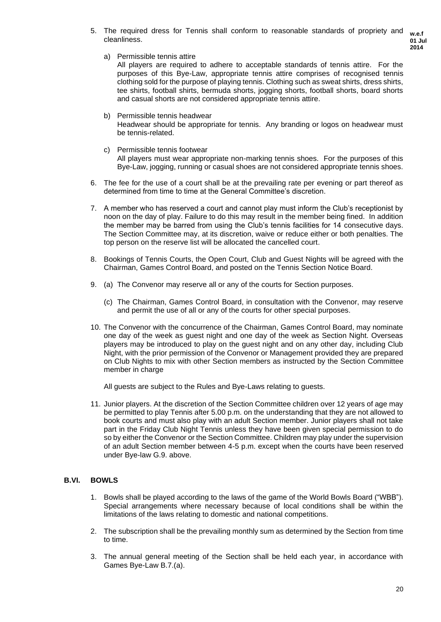5. The required dress for Tennis shall conform to reasonable standards of propriety and cleanliness.

a) Permissible tennis attire

All players are required to adhere to acceptable standards of tennis attire. For the purposes of this Bye-Law, appropriate tennis attire comprises of recognised tennis clothing sold for the purpose of playing tennis. Clothing such as sweat shirts, dress shirts, tee shirts, football shirts, bermuda shorts, jogging shorts, football shorts, board shorts and casual shorts are not considered appropriate tennis attire.

- b) Permissible tennis headwear Headwear should be appropriate for tennis. Any branding or logos on headwear must be tennis-related.
- c) Permissible tennis footwear All players must wear appropriate non-marking tennis shoes. For the purposes of this Bye-Law, jogging, running or casual shoes are not considered appropriate tennis shoes.
- 6. The fee for the use of a court shall be at the prevailing rate per evening or part thereof as determined from time to time at the General Committee's discretion.
- 7. A member who has reserved a court and cannot play must inform the Club's receptionist by noon on the day of play. Failure to do this may result in the member being fined. In addition the member may be barred from using the Club's tennis facilities for 14 consecutive days. The Section Committee may, at its discretion, waive or reduce either or both penalties. The top person on the reserve list will be allocated the cancelled court.
- 8. Bookings of Tennis Courts, the Open Court, Club and Guest Nights will be agreed with the Chairman, Games Control Board, and posted on the Tennis Section Notice Board.
- 9. (a) The Convenor may reserve all or any of the courts for Section purposes.
	- (c) The Chairman, Games Control Board, in consultation with the Convenor, may reserve and permit the use of all or any of the courts for other special purposes.
- 10. The Convenor with the concurrence of the Chairman, Games Control Board, may nominate one day of the week as guest night and one day of the week as Section Night. Overseas players may be introduced to play on the guest night and on any other day, including Club Night, with the prior permission of the Convenor or Management provided they are prepared on Club Nights to mix with other Section members as instructed by the Section Committee member in charge

All guests are subject to the Rules and Bye-Laws relating to guests.

11. Junior players. At the discretion of the Section Committee children over 12 years of age may be permitted to play Tennis after 5.00 p.m. on the understanding that they are not allowed to book courts and must also play with an adult Section member. Junior players shall not take part in the Friday Club Night Tennis unless they have been given special permission to do so by either the Convenor or the Section Committee. Children may play under the supervision of an adult Section member between 4-5 p.m. except when the courts have been reserved under Bye-law G.9. above.

# **B.VI. BOWLS**

- 1. Bowls shall be played according to the laws of the game of the World Bowls Board ("WBB"). Special arrangements where necessary because of local conditions shall be within the limitations of the laws relating to domestic and national competitions.
- 2. The subscription shall be the prevailing monthly sum as determined by the Section from time to time.
- 3. The annual general meeting of the Section shall be held each year, in accordance with Games Bye-Law B.7.(a).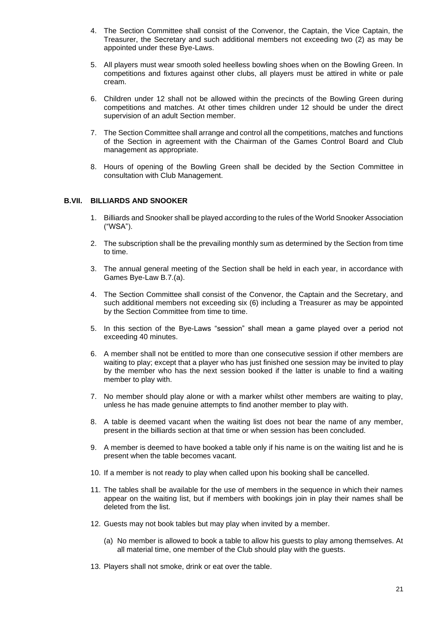- 4. The Section Committee shall consist of the Convenor, the Captain, the Vice Captain, the Treasurer, the Secretary and such additional members not exceeding two (2) as may be appointed under these Bye-Laws.
- 5. All players must wear smooth soled heelless bowling shoes when on the Bowling Green. In competitions and fixtures against other clubs, all players must be attired in white or pale cream.
- 6. Children under 12 shall not be allowed within the precincts of the Bowling Green during competitions and matches. At other times children under 12 should be under the direct supervision of an adult Section member.
- 7. The Section Committee shall arrange and control all the competitions, matches and functions of the Section in agreement with the Chairman of the Games Control Board and Club management as appropriate.
- 8. Hours of opening of the Bowling Green shall be decided by the Section Committee in consultation with Club Management.

# **B.VII. BILLIARDS AND SNOOKER**

- 1. Billiards and Snooker shall be played according to the rules of the World Snooker Association ("WSA").
- 2. The subscription shall be the prevailing monthly sum as determined by the Section from time to time.
- 3. The annual general meeting of the Section shall be held in each year, in accordance with Games Bye-Law B.7.(a).
- 4. The Section Committee shall consist of the Convenor, the Captain and the Secretary, and such additional members not exceeding six (6) including a Treasurer as may be appointed by the Section Committee from time to time.
- 5. In this section of the Bye-Laws "session" shall mean a game played over a period not exceeding 40 minutes.
- 6. A member shall not be entitled to more than one consecutive session if other members are waiting to play; except that a player who has just finished one session may be invited to play by the member who has the next session booked if the latter is unable to find a waiting member to play with.
- 7. No member should play alone or with a marker whilst other members are waiting to play, unless he has made genuine attempts to find another member to play with.
- 8. A table is deemed vacant when the waiting list does not bear the name of any member, present in the billiards section at that time or when session has been concluded.
- 9. A member is deemed to have booked a table only if his name is on the waiting list and he is present when the table becomes vacant.
- 10. If a member is not ready to play when called upon his booking shall be cancelled.
- 11. The tables shall be available for the use of members in the sequence in which their names appear on the waiting list, but if members with bookings join in play their names shall be deleted from the list.
- 12. Guests may not book tables but may play when invited by a member.
	- (a) No member is allowed to book a table to allow his guests to play among themselves. At all material time, one member of the Club should play with the guests.
- 13. Players shall not smoke, drink or eat over the table.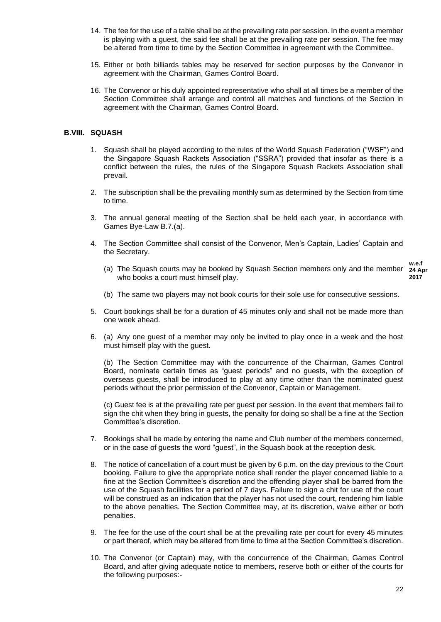- 14. The fee for the use of a table shall be at the prevailing rate per session. In the event a member is playing with a guest, the said fee shall be at the prevailing rate per session. The fee may be altered from time to time by the Section Committee in agreement with the Committee.
- 15. Either or both billiards tables may be reserved for section purposes by the Convenor in agreement with the Chairman, Games Control Board.
- 16. The Convenor or his duly appointed representative who shall at all times be a member of the Section Committee shall arrange and control all matches and functions of the Section in agreement with the Chairman, Games Control Board.

# **B.VIII. SQUASH**

- 1. Squash shall be played according to the rules of the World Squash Federation ("WSF") and the Singapore Squash Rackets Association ("SSRA") provided that insofar as there is a conflict between the rules, the rules of the Singapore Squash Rackets Association shall prevail.
- 2. The subscription shall be the prevailing monthly sum as determined by the Section from time to time.
- 3. The annual general meeting of the Section shall be held each year, in accordance with Games Bye-Law B.7.(a).
- 4. The Section Committee shall consist of the Convenor, Men's Captain, Ladies' Captain and the Secretary.
	- (a) The Squash courts may be booked by Squash Section members only and the member who books a court must himself play. **w.e.f**

**24 Apr 2017**

- (b) The same two players may not book courts for their sole use for consecutive sessions.
- 5. Court bookings shall be for a duration of 45 minutes only and shall not be made more than one week ahead.
- 6. (a) Any one guest of a member may only be invited to play once in a week and the host must himself play with the guest.

(b) The Section Committee may with the concurrence of the Chairman, Games Control Board, nominate certain times as "guest periods" and no guests, with the exception of overseas guests, shall be introduced to play at any time other than the nominated guest periods without the prior permission of the Convenor, Captain or Management.

(c) Guest fee is at the prevailing rate per guest per session. In the event that members fail to sign the chit when they bring in guests, the penalty for doing so shall be a fine at the Section Committee's discretion.

- 7. Bookings shall be made by entering the name and Club number of the members concerned, or in the case of guests the word "guest", in the Squash book at the reception desk.
- 8. The notice of cancellation of a court must be given by 6 p.m. on the day previous to the Court booking. Failure to give the appropriate notice shall render the player concerned liable to a fine at the Section Committee's discretion and the offending player shall be barred from the use of the Squash facilities for a period of 7 days. Failure to sign a chit for use of the court will be construed as an indication that the player has not used the court, rendering him liable to the above penalties. The Section Committee may, at its discretion, waive either or both penalties.
- 9. The fee for the use of the court shall be at the prevailing rate per court for every 45 minutes or part thereof, which may be altered from time to time at the Section Committee's discretion.
- 10. The Convenor (or Captain) may, with the concurrence of the Chairman, Games Control Board, and after giving adequate notice to members, reserve both or either of the courts for the following purposes:-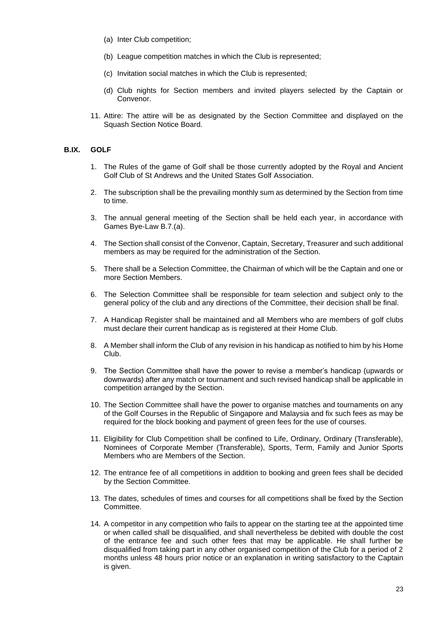- (a) Inter Club competition;
- (b) League competition matches in which the Club is represented;
- (c) Invitation social matches in which the Club is represented;
- (d) Club nights for Section members and invited players selected by the Captain or Convenor.
- 11. Attire: The attire will be as designated by the Section Committee and displayed on the Squash Section Notice Board.

# **B.IX. GOLF**

- 1. The Rules of the game of Golf shall be those currently adopted by the Royal and Ancient Golf Club of St Andrews and the United States Golf Association.
- 2. The subscription shall be the prevailing monthly sum as determined by the Section from time to time.
- 3. The annual general meeting of the Section shall be held each year, in accordance with Games Bye-Law B.7.(a).
- 4. The Section shall consist of the Convenor, Captain, Secretary, Treasurer and such additional members as may be required for the administration of the Section.
- 5. There shall be a Selection Committee, the Chairman of which will be the Captain and one or more Section Members.
- 6. The Selection Committee shall be responsible for team selection and subject only to the general policy of the club and any directions of the Committee, their decision shall be final.
- 7. A Handicap Register shall be maintained and all Members who are members of golf clubs must declare their current handicap as is registered at their Home Club.
- 8. A Member shall inform the Club of any revision in his handicap as notified to him by his Home Club.
- 9. The Section Committee shall have the power to revise a member's handicap (upwards or downwards) after any match or tournament and such revised handicap shall be applicable in competition arranged by the Section.
- 10. The Section Committee shall have the power to organise matches and tournaments on any of the Golf Courses in the Republic of Singapore and Malaysia and fix such fees as may be required for the block booking and payment of green fees for the use of courses.
- 11. Eligibility for Club Competition shall be confined to Life, Ordinary, Ordinary (Transferable), Nominees of Corporate Member (Transferable), Sports, Term, Family and Junior Sports Members who are Members of the Section.
- 12. The entrance fee of all competitions in addition to booking and green fees shall be decided by the Section Committee.
- 13. The dates, schedules of times and courses for all competitions shall be fixed by the Section Committee.
- 14. A competitor in any competition who fails to appear on the starting tee at the appointed time or when called shall be disqualified, and shall nevertheless be debited with double the cost of the entrance fee and such other fees that may be applicable. He shall further be disqualified from taking part in any other organised competition of the Club for a period of 2 months unless 48 hours prior notice or an explanation in writing satisfactory to the Captain is given.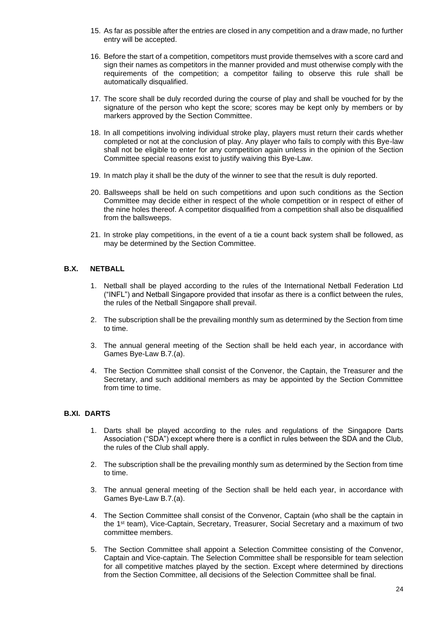- 15. As far as possible after the entries are closed in any competition and a draw made, no further entry will be accepted.
- 16. Before the start of a competition, competitors must provide themselves with a score card and sign their names as competitors in the manner provided and must otherwise comply with the requirements of the competition; a competitor failing to observe this rule shall be automatically disqualified.
- 17. The score shall be duly recorded during the course of play and shall be vouched for by the signature of the person who kept the score; scores may be kept only by members or by markers approved by the Section Committee.
- 18. In all competitions involving individual stroke play, players must return their cards whether completed or not at the conclusion of play. Any player who fails to comply with this Bye-law shall not be eligible to enter for any competition again unless in the opinion of the Section Committee special reasons exist to justify waiving this Bye-Law.
- 19. In match play it shall be the duty of the winner to see that the result is duly reported.
- 20. Ballsweeps shall be held on such competitions and upon such conditions as the Section Committee may decide either in respect of the whole competition or in respect of either of the nine holes thereof. A competitor disqualified from a competition shall also be disqualified from the ballsweeps.
- 21. In stroke play competitions, in the event of a tie a count back system shall be followed, as may be determined by the Section Committee.

# **B.X. NETBALL**

- 1. Netball shall be played according to the rules of the International Netball Federation Ltd ("INFL") and Netball Singapore provided that insofar as there is a conflict between the rules, the rules of the Netball Singapore shall prevail.
- 2. The subscription shall be the prevailing monthly sum as determined by the Section from time to time.
- 3. The annual general meeting of the Section shall be held each year, in accordance with Games Bye-Law B.7.(a).
- 4. The Section Committee shall consist of the Convenor, the Captain, the Treasurer and the Secretary, and such additional members as may be appointed by the Section Committee from time to time.

# **B.XI. DARTS**

- 1. Darts shall be played according to the rules and regulations of the Singapore Darts Association ("SDA") except where there is a conflict in rules between the SDA and the Club, the rules of the Club shall apply.
- 2. The subscription shall be the prevailing monthly sum as determined by the Section from time to time.
- 3. The annual general meeting of the Section shall be held each year, in accordance with Games Bye-Law B.7.(a).
- 4. The Section Committee shall consist of the Convenor, Captain (who shall be the captain in the 1st team), Vice-Captain, Secretary, Treasurer, Social Secretary and a maximum of two committee members.
- 5. The Section Committee shall appoint a Selection Committee consisting of the Convenor, Captain and Vice-captain. The Selection Committee shall be responsible for team selection for all competitive matches played by the section. Except where determined by directions from the Section Committee, all decisions of the Selection Committee shall be final.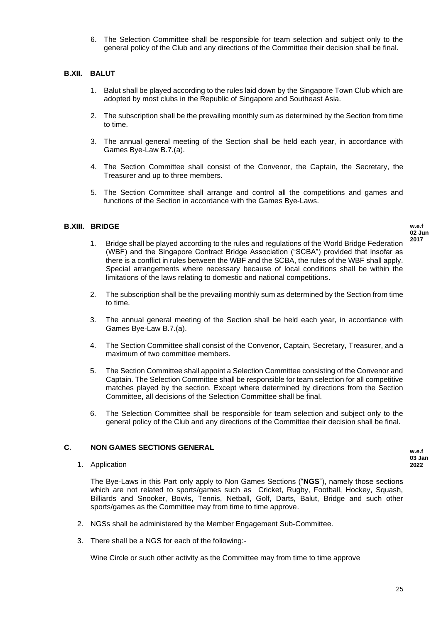6. The Selection Committee shall be responsible for team selection and subject only to the general policy of the Club and any directions of the Committee their decision shall be final.

# **B.XII. BALUT**

- 1. Balut shall be played according to the rules laid down by the Singapore Town Club which are adopted by most clubs in the Republic of Singapore and Southeast Asia.
- 2. The subscription shall be the prevailing monthly sum as determined by the Section from time to time.
- 3. The annual general meeting of the Section shall be held each year, in accordance with Games Bye-Law B.7.(a).
- 4. The Section Committee shall consist of the Convenor, the Captain, the Secretary, the Treasurer and up to three members.
- 5. The Section Committee shall arrange and control all the competitions and games and functions of the Section in accordance with the Games Bye-Laws.

# **B.XIII. BRIDGE**

**w.e.f 02 Jun 2017**

- 1. Bridge shall be played according to the rules and regulations of the World Bridge Federation (WBF) and the Singapore Contract Bridge Association ("SCBA") provided that insofar as there is a conflict in rules between the WBF and the SCBA, the rules of the WBF shall apply. Special arrangements where necessary because of local conditions shall be within the limitations of the laws relating to domestic and national competitions.
- 2. The subscription shall be the prevailing monthly sum as determined by the Section from time to time.
- 3. The annual general meeting of the Section shall be held each year, in accordance with Games Bye-Law B.7.(a).
- 4. The Section Committee shall consist of the Convenor, Captain, Secretary, Treasurer, and a maximum of two committee members.
- 5. The Section Committee shall appoint a Selection Committee consisting of the Convenor and Captain. The Selection Committee shall be responsible for team selection for all competitive matches played by the section. Except where determined by directions from the Section Committee, all decisions of the Selection Committee shall be final.
- 6. The Selection Committee shall be responsible for team selection and subject only to the general policy of the Club and any directions of the Committee their decision shall be final.

# **C. NON GAMES SECTIONS GENERAL**

1. Application

The Bye-Laws in this Part only apply to Non Games Sections ("**NGS**"), namely those sections which are not related to sports/games such as Cricket, Rugby, Football, Hockey, Squash, Billiards and Snooker, Bowls, Tennis, Netball, Golf, Darts, Balut, Bridge and such other sports/games as the Committee may from time to time approve.

- 2. NGSs shall be administered by the Member Engagement Sub-Committee.
- 3. There shall be a NGS for each of the following:-

Wine Circle or such other activity as the Committee may from time to time approve

**w.e.f 03 Jan 2022**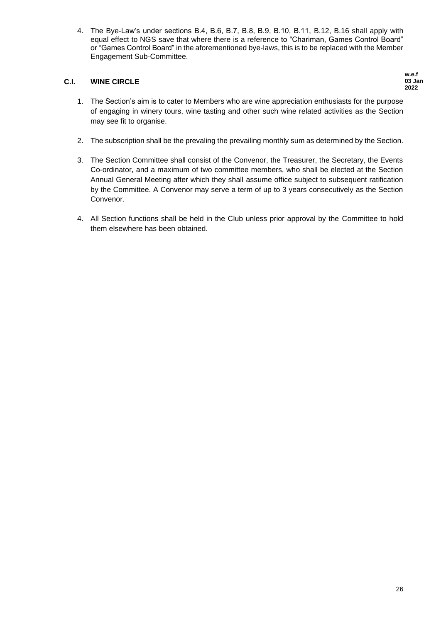4. The Bye-Law's under sections B.4, B.6, B.7, B.8, B.9, B.10, B.11, B.12, B.16 shall apply with equal effect to NGS save that where there is a reference to "Chariman, Games Control Board" or "Games Control Board" in the aforementioned bye-laws, this is to be replaced with the Member Engagement Sub-Committee.

# **C.I. WINE CIRCLE**

**w.e.f 03 Jan 2022**

- 1. The Section's aim is to cater to Members who are wine appreciation enthusiasts for the purpose of engaging in winery tours, wine tasting and other such wine related activities as the Section may see fit to organise.
- 2. The subscription shall be the prevaling the prevailing monthly sum as determined by the Section.
- 3. The Section Committee shall consist of the Convenor, the Treasurer, the Secretary, the Events Co-ordinator, and a maximum of two committee members, who shall be elected at the Section Annual General Meeting after which they shall assume office subject to subsequent ratification by the Committee. A Convenor may serve a term of up to 3 years consecutively as the Section Convenor.
- 4. All Section functions shall be held in the Club unless prior approval by the Committee to hold them elsewhere has been obtained.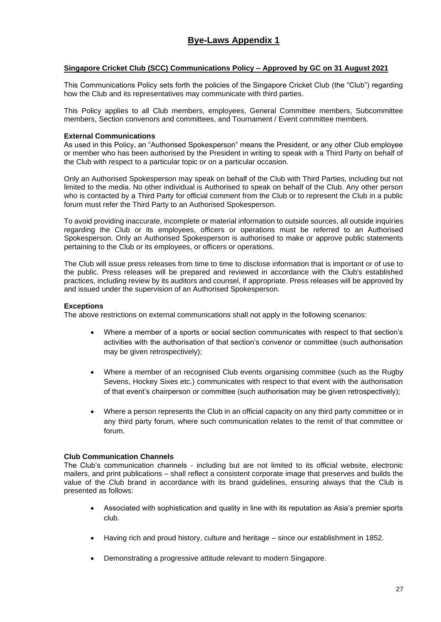# **Singapore Cricket Club (SCC) Communications Policy – Approved by GC on 31 August 2021**

This Communications Policy sets forth the policies of the Singapore Cricket Club (the "Club") regarding how the Club and its representatives may communicate with third parties.

This Policy applies to all Club members, employees, General Committee members, Subcommittee members, Section convenors and committees, and Tournament / Event committee members.

# **External Communications**

As used in this Policy, an "Authorised Spokesperson" means the President, or any other Club employee or member who has been authorised by the President in writing to speak with a Third Party on behalf of the Club with respect to a particular topic or on a particular occasion.

Only an Authorised Spokesperson may speak on behalf of the Club with Third Parties, including but not limited to the media. No other individual is Authorised to speak on behalf of the Club. Any other person who is contacted by a Third Party for official comment from the Club or to represent the Club in a public forum must refer the Third Party to an Authorised Spokesperson.

To avoid providing inaccurate, incomplete or material information to outside sources, all outside inquiries regarding the Club or its employees, officers or operations must be referred to an Authorised Spokesperson. Only an Authorised Spokesperson is authorised to make or approve public statements pertaining to the Club or its employees, or officers or operations.

The Club will issue press releases from time to time to disclose information that is important or of use to the public. Press releases will be prepared and reviewed in accordance with the Club's established practices, including review by its auditors and counsel, if appropriate. Press releases will be approved by and issued under the supervision of an Authorised Spokesperson.

# **Exceptions**

The above restrictions on external communications shall not apply in the following scenarios:

- Where a member of a sports or social section communicates with respect to that section's activities with the authorisation of that section's convenor or committee (such authorisation may be given retrospectively);
- Where a member of an recognised Club events organising committee (such as the Rugby Sevens, Hockey Sixes etc.) communicates with respect to that event with the authorisation of that event's chairperson or committee (such authorisation may be given retrospectively);
- Where a person represents the Club in an official capacity on any third party committee or in any third party forum, where such communication relates to the remit of that committee or forum.

# **Club Communication Channels**

The Club's communication channels - including but are not limited to its official website, electronic mailers, and print publications – shall reflect a consistent corporate image that preserves and builds the value of the Club brand in accordance with its brand guidelines, ensuring always that the Club is presented as follows:

- Associated with sophistication and quality in line with its reputation as Asia's premier sports club.
- Having rich and proud history, culture and heritage since our establishment in 1852.
- Demonstrating a progressive attitude relevant to modern Singapore.